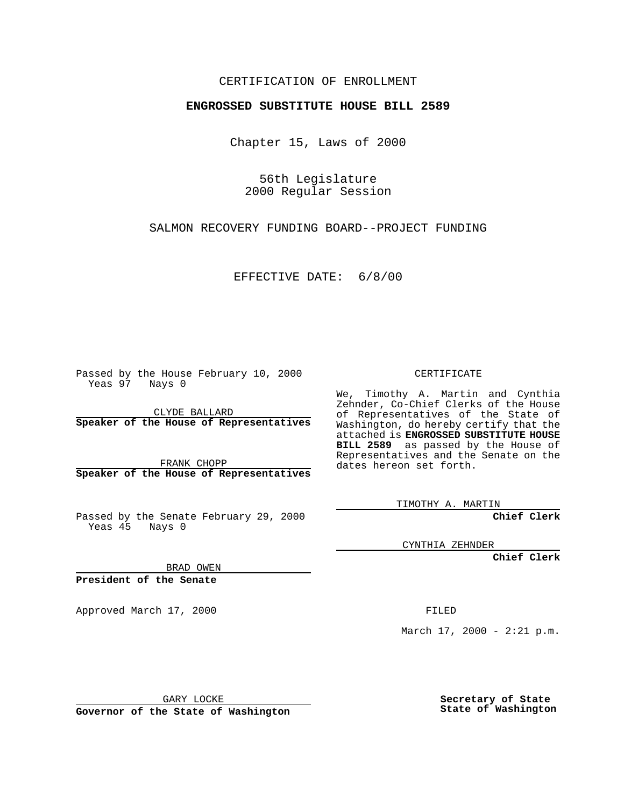## CERTIFICATION OF ENROLLMENT

## **ENGROSSED SUBSTITUTE HOUSE BILL 2589**

Chapter 15, Laws of 2000

56th Legislature 2000 Regular Session

SALMON RECOVERY FUNDING BOARD--PROJECT FUNDING

EFFECTIVE DATE: 6/8/00

Passed by the House February 10, 2000 Yeas 97 Nays 0

CLYDE BALLARD **Speaker of the House of Representatives**

FRANK CHOPP **Speaker of the House of Representatives**

Passed by the Senate February 29, 2000 Yeas 45 Nays 0

CYNTHIA ZEHNDER

**Chief Clerk**

BRAD OWEN

**President of the Senate**

Approved March 17, 2000 FILED

March  $17, 2000 - 2:21 p.m.$ 

GARY LOCKE

**Governor of the State of Washington**

**Secretary of State State of Washington**

CERTIFICATE

We, Timothy A. Martin and Cynthia Zehnder, Co-Chief Clerks of the House of Representatives of the State of Washington, do hereby certify that the attached is **ENGROSSED SUBSTITUTE HOUSE BILL 2589** as passed by the House of Representatives and the Senate on the dates hereon set forth.

TIMOTHY A. MARTIN

**Chief Clerk**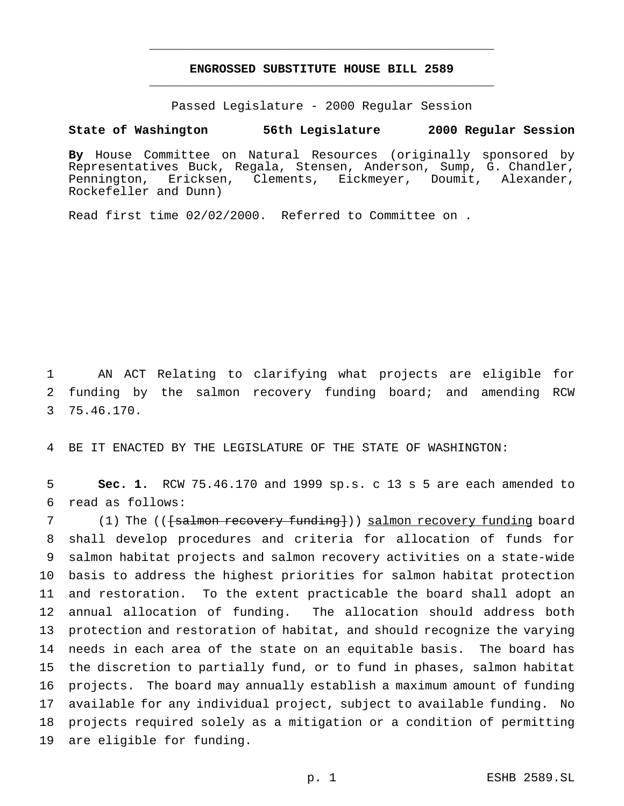## **ENGROSSED SUBSTITUTE HOUSE BILL 2589** \_\_\_\_\_\_\_\_\_\_\_\_\_\_\_\_\_\_\_\_\_\_\_\_\_\_\_\_\_\_\_\_\_\_\_\_\_\_\_\_\_\_\_\_\_\_\_

\_\_\_\_\_\_\_\_\_\_\_\_\_\_\_\_\_\_\_\_\_\_\_\_\_\_\_\_\_\_\_\_\_\_\_\_\_\_\_\_\_\_\_\_\_\_\_

Passed Legislature - 2000 Regular Session

## **State of Washington 56th Legislature 2000 Regular Session**

**By** House Committee on Natural Resources (originally sponsored by Representatives Buck, Regala, Stensen, Anderson, Sump, G. Chandler, Pennington, Ericksen, Clements, Eickmeyer, Doumit, Alexander, Rockefeller and Dunn)

Read first time 02/02/2000. Referred to Committee on .

1 AN ACT Relating to clarifying what projects are eligible for 2 funding by the salmon recovery funding board; and amending RCW 3 75.46.170.

4 BE IT ENACTED BY THE LEGISLATURE OF THE STATE OF WASHINGTON:

5 **Sec. 1.** RCW 75.46.170 and 1999 sp.s. c 13 s 5 are each amended to 6 read as follows:

7 (1) The (( $\{\text{salmon recovery funding}}$ )) salmon recovery funding board shall develop procedures and criteria for allocation of funds for salmon habitat projects and salmon recovery activities on a state-wide basis to address the highest priorities for salmon habitat protection and restoration. To the extent practicable the board shall adopt an annual allocation of funding. The allocation should address both protection and restoration of habitat, and should recognize the varying needs in each area of the state on an equitable basis. The board has the discretion to partially fund, or to fund in phases, salmon habitat projects. The board may annually establish a maximum amount of funding available for any individual project, subject to available funding. No projects required solely as a mitigation or a condition of permitting are eligible for funding.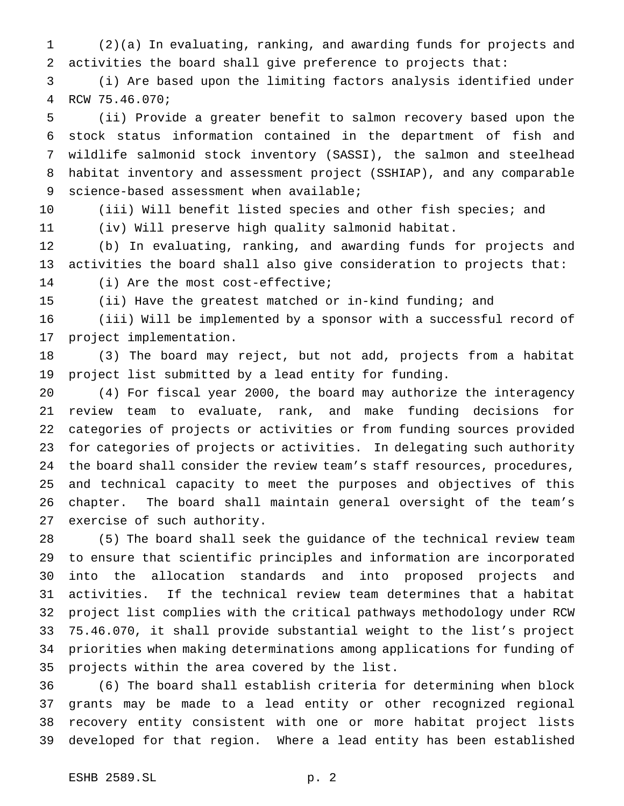(2)(a) In evaluating, ranking, and awarding funds for projects and activities the board shall give preference to projects that:

 (i) Are based upon the limiting factors analysis identified under RCW 75.46.070;

 (ii) Provide a greater benefit to salmon recovery based upon the stock status information contained in the department of fish and wildlife salmonid stock inventory (SASSI), the salmon and steelhead habitat inventory and assessment project (SSHIAP), and any comparable science-based assessment when available;

 (iii) Will benefit listed species and other fish species; and (iv) Will preserve high quality salmonid habitat.

 (b) In evaluating, ranking, and awarding funds for projects and activities the board shall also give consideration to projects that: (i) Are the most cost-effective;

(ii) Have the greatest matched or in-kind funding; and

 (iii) Will be implemented by a sponsor with a successful record of project implementation.

 (3) The board may reject, but not add, projects from a habitat project list submitted by a lead entity for funding.

 (4) For fiscal year 2000, the board may authorize the interagency review team to evaluate, rank, and make funding decisions for categories of projects or activities or from funding sources provided for categories of projects or activities. In delegating such authority the board shall consider the review team's staff resources, procedures, and technical capacity to meet the purposes and objectives of this chapter. The board shall maintain general oversight of the team's exercise of such authority.

 (5) The board shall seek the guidance of the technical review team to ensure that scientific principles and information are incorporated into the allocation standards and into proposed projects and activities. If the technical review team determines that a habitat project list complies with the critical pathways methodology under RCW 75.46.070, it shall provide substantial weight to the list's project priorities when making determinations among applications for funding of projects within the area covered by the list.

 (6) The board shall establish criteria for determining when block grants may be made to a lead entity or other recognized regional recovery entity consistent with one or more habitat project lists developed for that region. Where a lead entity has been established